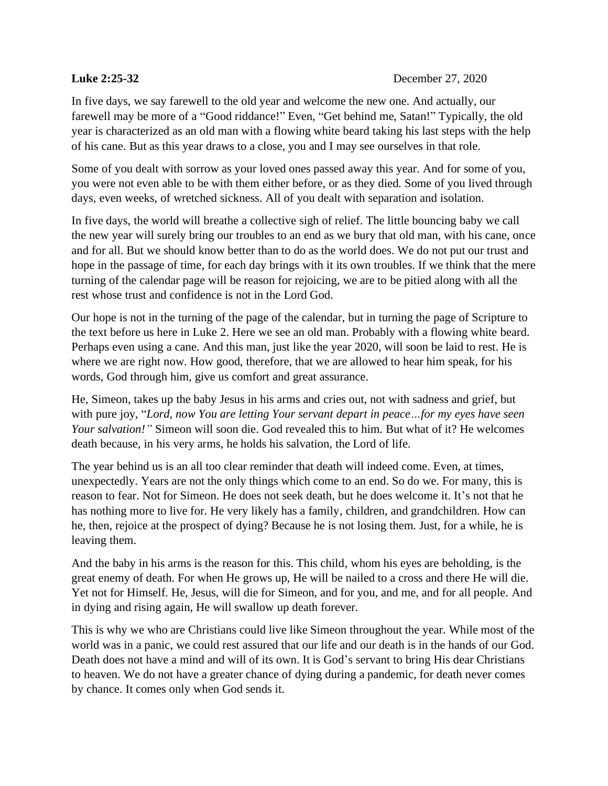## **Luke 2:25-32** December 27, 2020

In five days, we say farewell to the old year and welcome the new one. And actually, our farewell may be more of a "Good riddance!" Even, "Get behind me, Satan!" Typically, the old year is characterized as an old man with a flowing white beard taking his last steps with the help of his cane. But as this year draws to a close, you and I may see ourselves in that role.

Some of you dealt with sorrow as your loved ones passed away this year. And for some of you, you were not even able to be with them either before, or as they died. Some of you lived through days, even weeks, of wretched sickness. All of you dealt with separation and isolation.

In five days, the world will breathe a collective sigh of relief. The little bouncing baby we call the new year will surely bring our troubles to an end as we bury that old man, with his cane, once and for all. But we should know better than to do as the world does. We do not put our trust and hope in the passage of time, for each day brings with it its own troubles. If we think that the mere turning of the calendar page will be reason for rejoicing, we are to be pitied along with all the rest whose trust and confidence is not in the Lord God.

Our hope is not in the turning of the page of the calendar, but in turning the page of Scripture to the text before us here in Luke 2. Here we see an old man. Probably with a flowing white beard. Perhaps even using a cane. And this man, just like the year 2020, will soon be laid to rest. He is where we are right now. How good, therefore, that we are allowed to hear him speak, for his words, God through him, give us comfort and great assurance.

He, Simeon, takes up the baby Jesus in his arms and cries out, not with sadness and grief, but with pure joy, "*Lord, now You are letting Your servant depart in peace…for my eyes have seen Your salvation!"* Simeon will soon die. God revealed this to him. But what of it? He welcomes death because, in his very arms, he holds his salvation, the Lord of life.

The year behind us is an all too clear reminder that death will indeed come. Even, at times, unexpectedly. Years are not the only things which come to an end. So do we. For many, this is reason to fear. Not for Simeon. He does not seek death, but he does welcome it. It's not that he has nothing more to live for. He very likely has a family, children, and grandchildren. How can he, then, rejoice at the prospect of dying? Because he is not losing them. Just, for a while, he is leaving them.

And the baby in his arms is the reason for this. This child, whom his eyes are beholding, is the great enemy of death. For when He grows up, He will be nailed to a cross and there He will die. Yet not for Himself. He, Jesus, will die for Simeon, and for you, and me, and for all people. And in dying and rising again, He will swallow up death forever.

This is why we who are Christians could live like Simeon throughout the year. While most of the world was in a panic, we could rest assured that our life and our death is in the hands of our God. Death does not have a mind and will of its own. It is God's servant to bring His dear Christians to heaven. We do not have a greater chance of dying during a pandemic, for death never comes by chance. It comes only when God sends it.